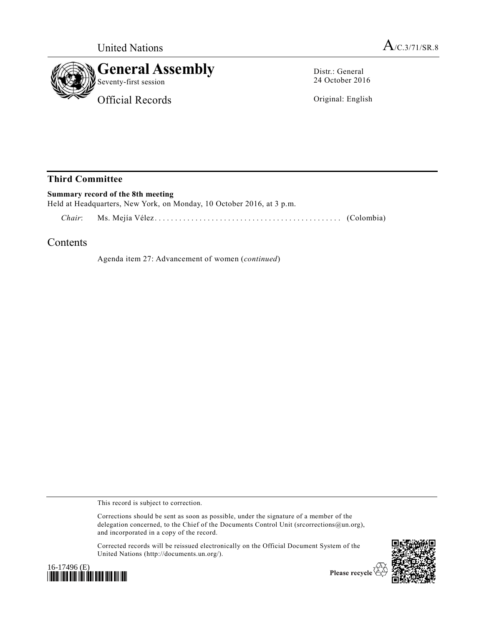

Distr.: General 24 October 2016

Original: English

## **Third Committee**

| Summary record of the 8th meeting<br>Held at Headquarters, New York, on Monday, 10 October 2016, at 3 p.m. |  |  |
|------------------------------------------------------------------------------------------------------------|--|--|
|                                                                                                            |  |  |

## **Contents**

Agenda item 27: Advancement of women (*continued*)

This record is subject to correction.

Corrections should be sent as soon as possible, under the signature of a member of the delegation concerned, to the Chief of the Documents Control Unit (srcorrections@un.org), and incorporated in a copy of the record.

Corrected records will be reissued electronically on the Official Document System of the United Nations (http://documents.un.org/).





Please recycle  $\check{\mathfrak{C}}$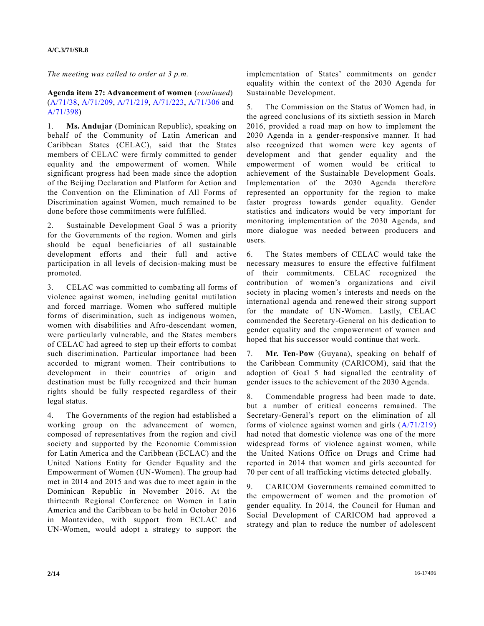*The meeting was called to order at 3 p.m.*

## **Agenda item 27: Advancement of women** (*continued*) [\(A/71/38,](http://undocs.org/A/71/38) [A/71/209,](http://undocs.org/A/71/209) [A/71/219,](http://undocs.org/A/71/219) [A/71/223,](http://undocs.org/A/71/223) [A/71/306](http://undocs.org/A/71/306) and [A/71/398\)](http://undocs.org/A/71/398)

1. **Ms. Andujar** (Dominican Republic), speaking on behalf of the Community of Latin American and Caribbean States (CELAC), said that the States members of CELAC were firmly committed to gender equality and the empowerment of women. While significant progress had been made since the adoption of the Beijing Declaration and Platform for Action and the Convention on the Elimination of All Forms of Discrimination against Women, much remained to be done before those commitments were fulfilled.

2. Sustainable Development Goal 5 was a priority for the Governments of the region. Women and girls should be equal beneficiaries of all sustainable development efforts and their full and active participation in all levels of decision-making must be promoted.

3. CELAC was committed to combating all forms of violence against women, including genital mutilation and forced marriage. Women who suffered multiple forms of discrimination, such as indigenous women, women with disabilities and Afro-descendant women, were particularly vulnerable, and the States members of CELAC had agreed to step up their efforts to combat such discrimination. Particular importance had been accorded to migrant women. Their contributions to development in their countries of origin and destination must be fully recognized and their human rights should be fully respected regardless of their legal status.

4. The Governments of the region had established a working group on the advancement of women, composed of representatives from the region and civil society and supported by the Economic Commission for Latin America and the Caribbean (ECLAC) and the United Nations Entity for Gender Equality and the Empowerment of Women (UN-Women). The group had met in 2014 and 2015 and was due to meet again in the Dominican Republic in November 2016. At the thirteenth Regional Conference on Women in Latin America and the Caribbean to be held in October 2016 in Montevideo, with support from ECLAC and UN-Women, would adopt a strategy to support the implementation of States' commitments on gender equality within the context of the 2030 Agenda for Sustainable Development.

5. The Commission on the Status of Women had, in the agreed conclusions of its sixtieth session in March 2016, provided a road map on how to implement the 2030 Agenda in a gender-responsive manner. It had also recognized that women were key agents of development and that gender equality and the empowerment of women would be critical to achievement of the Sustainable Development Goals. Implementation of the 2030 Agenda therefore represented an opportunity for the region to make faster progress towards gender equality. Gender statistics and indicators would be very important for monitoring implementation of the 2030 Agenda, and more dialogue was needed between producers and users.

6. The States members of CELAC would take the necessary measures to ensure the effective fulfilment of their commitments. CELAC recognized the contribution of women's organizations and civil society in placing women's interests and needs on the international agenda and renewed their strong support for the mandate of UN-Women. Lastly, CELAC commended the Secretary-General on his dedication to gender equality and the empowerment of women and hoped that his successor would continue that work.

7. **Mr. Ten-Pow** (Guyana), speaking on behalf of the Caribbean Community (CARICOM), said that the adoption of Goal 5 had signalled the centrality of gender issues to the achievement of the 2030 Agenda.

8. Commendable progress had been made to date, but a number of critical concerns remained. The Secretary-General's report on the elimination of all forms of violence against women and girls [\(A/71/219\)](http://undocs.org/A/71/219) had noted that domestic violence was one of the more widespread forms of violence against women, while the United Nations Office on Drugs and Crime had reported in 2014 that women and girls accounted for 70 per cent of all trafficking victims detected globally.

9. CARICOM Governments remained committed to the empowerment of women and the promotion of gender equality. In 2014, the Council for Human and Social Development of CARICOM had approved a strategy and plan to reduce the number of adolescent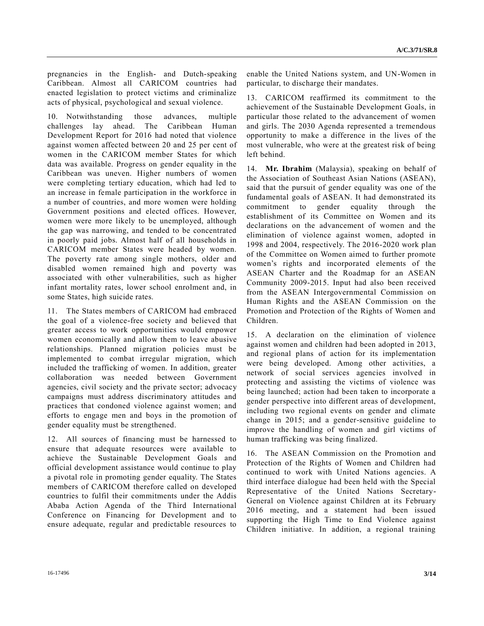pregnancies in the English- and Dutch-speaking Caribbean. Almost all CARICOM countries had enacted legislation to protect victims and criminalize acts of physical, psychological and sexual violence.

10. Notwithstanding those advances, multiple challenges lay ahead. The Caribbean Human Development Report for 2016 had noted that violence against women affected between 20 and 25 per cent of women in the CARICOM member States for which data was available. Progress on gender equality in the Caribbean was uneven. Higher numbers of women were completing tertiary education, which had led to an increase in female participation in the workforce in a number of countries, and more women were holding Government positions and elected offices. However, women were more likely to be unemployed, although the gap was narrowing, and tended to be concentrated in poorly paid jobs. Almost half of all households in CARICOM member States were headed by women. The poverty rate among single mothers, older and disabled women remained high and poverty was associated with other vulnerabilities, such as higher infant mortality rates, lower school enrolment and, in some States, high suicide rates.

11. The States members of CARICOM had embraced the goal of a violence-free society and believed that greater access to work opportunities would empower women economically and allow them to leave abusive relationships. Planned migration policies must be implemented to combat irregular migration, which included the trafficking of women. In addition, greater collaboration was needed between Government agencies, civil society and the private sector; advocacy campaigns must address discriminatory attitudes and practices that condoned violence against women; and efforts to engage men and boys in the promotion of gender equality must be strengthened.

12. All sources of financing must be harnessed to ensure that adequate resources were available to achieve the Sustainable Development Goals and official development assistance would continue to play a pivotal role in promoting gender equality. The States members of CARICOM therefore called on developed countries to fulfil their commitments under the Addis Ababa Action Agenda of the Third International Conference on Financing for Development and to ensure adequate, regular and predictable resources to

enable the United Nations system, and UN-Women in particular, to discharge their mandates.

13. CARICOM reaffirmed its commitment to the achievement of the Sustainable Development Goals, in particular those related to the advancement of women and girls. The 2030 Agenda represented a tremendous opportunity to make a difference in the lives of the most vulnerable, who were at the greatest risk of being left behind.

14. **Mr. Ibrahim** (Malaysia), speaking on behalf of the Association of Southeast Asian Nations (ASEAN), said that the pursuit of gender equality was one of the fundamental goals of ASEAN. It had demonstrated its commitment to gender equality through the establishment of its Committee on Women and its declarations on the advancement of women and the elimination of violence against women, adopted in 1998 and 2004, respectively. The 2016-2020 work plan of the Committee on Women aimed to further promote women's rights and incorporated elements of the ASEAN Charter and the Roadmap for an ASEAN Community 2009-2015. Input had also been received from the ASEAN Intergovernmental Commission on Human Rights and the ASEAN Commission on the Promotion and Protection of the Rights of Women and Children.

15. A declaration on the elimination of violence against women and children had been adopted in 2013, and regional plans of action for its implementation were being developed. Among other activities, a network of social services agencies involved in protecting and assisting the victims of violence was being launched; action had been taken to incorporate a gender perspective into different areas of development, including two regional events on gender and climate change in 2015; and a gender-sensitive guideline to improve the handling of women and girl victims of human trafficking was being finalized.

16. The ASEAN Commission on the Promotion and Protection of the Rights of Women and Children had continued to work with United Nations agencies. A third interface dialogue had been held with the Special Representative of the United Nations Secretary-General on Violence against Children at its February 2016 meeting, and a statement had been issued supporting the High Time to End Violence against Children initiative. In addition, a regional training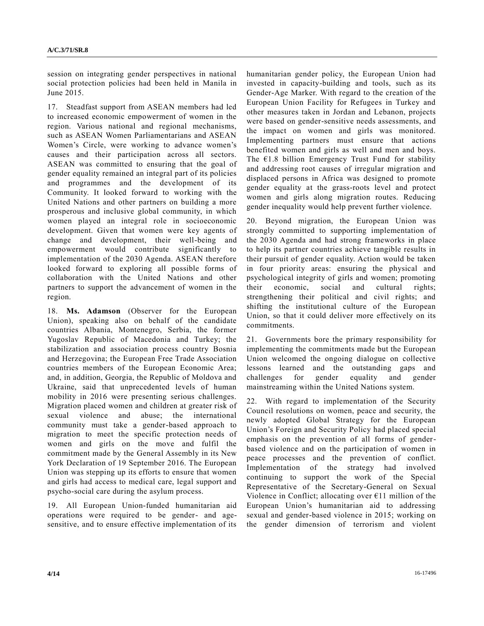session on integrating gender perspectives in national social protection policies had been held in Manila in June 2015.

17. Steadfast support from ASEAN members had led to increased economic empowerment of women in the region. Various national and regional mechanisms, such as ASEAN Women Parliamentarians and ASEAN Women's Circle, were working to advance women's causes and their participation across all sectors. ASEAN was committed to ensuring that the goal of gender equality remained an integral part of its policies and programmes and the development of its Community. It looked forward to working with the United Nations and other partners on building a more prosperous and inclusive global community, in which women played an integral role in socioeconomic development. Given that women were key agents of change and development, their well-being and empowerment would contribute significantly to implementation of the 2030 Agenda. ASEAN therefore looked forward to exploring all possible forms of collaboration with the United Nations and other partners to support the advancement of women in the region.

18. **Ms. Adamson** (Observer for the European Union), speaking also on behalf of the candidate countries Albania, Montenegro, Serbia, the former Yugoslav Republic of Macedonia and Turkey; the stabilization and association process country Bosnia and Herzegovina; the European Free Trade Association countries members of the European Economic Area; and, in addition, Georgia, the Republic of Moldova and Ukraine, said that unprecedented levels of human mobility in 2016 were presenting serious challenges. Migration placed women and children at greater risk of sexual violence and abuse; the international community must take a gender-based approach to migration to meet the specific protection needs of women and girls on the move and fulfil the commitment made by the General Assembly in its New York Declaration of 19 September 2016. The European Union was stepping up its efforts to ensure that women and girls had access to medical care, legal support and psycho-social care during the asylum process.

19. All European Union-funded humanitarian aid operations were required to be gender- and agesensitive, and to ensure effective implementation of its humanitarian gender policy, the European Union had invested in capacity-building and tools, such as its Gender-Age Marker. With regard to the creation of the European Union Facility for Refugees in Turkey and other measures taken in Jordan and Lebanon, projects were based on gender-sensitive needs assessments, and the impact on women and girls was monitored. Implementing partners must ensure that actions benefited women and girls as well and men and boys. The  $E1.8$  billion Emergency Trust Fund for stability and addressing root causes of irregular migration and displaced persons in Africa was designed to promote gender equality at the grass-roots level and protect women and girls along migration routes. Reducing gender inequality would help prevent further violence.

20. Beyond migration, the European Union was strongly committed to supporting implementation of the 2030 Agenda and had strong frameworks in place to help its partner countries achieve tangible results in their pursuit of gender equality. Action would be taken in four priority areas: ensuring the physical and psychological integrity of girls and women; promoting their economic, social and cultural rights; strengthening their political and civil rights; and shifting the institutional culture of the European Union, so that it could deliver more effectively on its commitments.

21. Governments bore the primary responsibility for implementing the commitments made but the European Union welcomed the ongoing dialogue on collective lessons learned and the outstanding gaps and challenges for gender equality and gender mainstreaming within the United Nations system.

22. With regard to implementation of the Security Council resolutions on women, peace and security, the newly adopted Global Strategy for the European Union's Foreign and Security Policy had placed special emphasis on the prevention of all forms of genderbased violence and on the participation of women in peace processes and the prevention of conflict. Implementation of the strategy had involved continuing to support the work of the Special Representative of the Secretary-General on Sexual Violence in Conflict; allocating over  $E11$  million of the European Union's humanitarian aid to addressing sexual and gender-based violence in 2015; working on the gender dimension of terrorism and violent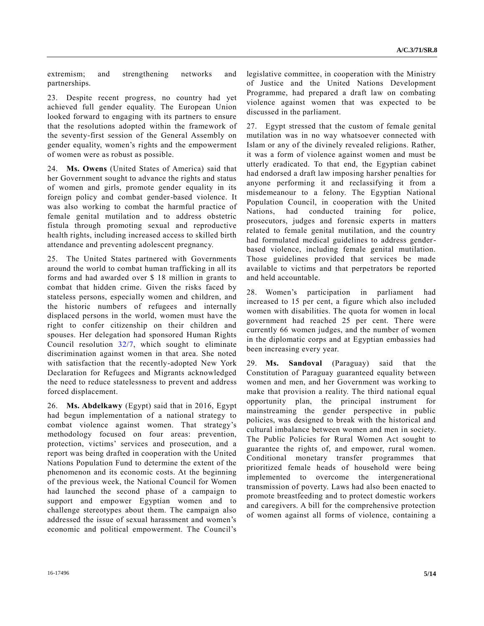extremism; and strengthening networks and partnerships.

23. Despite recent progress, no country had yet achieved full gender equality. The European Union looked forward to engaging with its partners to ensure that the resolutions adopted within the framework of the seventy-first session of the General Assembly on gender equality, women's rights and the empowerment of women were as robust as possible.

24. **Ms. Owens** (United States of America) said that her Government sought to advance the rights and status of women and girls, promote gender equality in its foreign policy and combat gender-based violence. It was also working to combat the harmful practice of female genital mutilation and to address obstetric fistula through promoting sexual and reproductive health rights, including increased access to skilled birth attendance and preventing adolescent pregnancy.

25. The United States partnered with Governments around the world to combat human trafficking in all its forms and had awarded over \$ 18 million in grants to combat that hidden crime. Given the risks faced by stateless persons, especially women and children, and the historic numbers of refugees and internally displaced persons in the world, women must have the right to confer citizenship on their children and spouses. Her delegation had sponsored Human Rights Council resolution [32/7,](http://undocs.org/A/RES/32/7) which sought to eliminate discrimination against women in that area. She noted with satisfaction that the recently-adopted New York Declaration for Refugees and Migrants acknowledged the need to reduce statelessness to prevent and address forced displacement.

26. **Ms. Abdelkawy** (Egypt) said that in 2016, Egypt had begun implementation of a national strategy to combat violence against women. That strategy's methodology focused on four areas: prevention, protection, victims' services and prosecution, and a report was being drafted in cooperation with the United Nations Population Fund to determine the extent of the phenomenon and its economic costs. At the beginning of the previous week, the National Council for Women had launched the second phase of a campaign to support and empower Egyptian women and to challenge stereotypes about them. The campaign also addressed the issue of sexual harassment and women's economic and political empowerment. The Council's

legislative committee, in cooperation with the Ministry of Justice and the United Nations Development Programme, had prepared a draft law on combating violence against women that was expected to be discussed in the parliament.

27. Egypt stressed that the custom of female genital mutilation was in no way whatsoever connected with Islam or any of the divinely revealed religions. Rather, it was a form of violence against women and must be utterly eradicated. To that end, the Egyptian cabinet had endorsed a draft law imposing harsher penalties for anyone performing it and reclassifying it from a misdemeanour to a felony. The Egyptian National Population Council, in cooperation with the United Nations, had conducted training for police, prosecutors, judges and forensic experts in matters related to female genital mutilation, and the country had formulated medical guidelines to address genderbased violence, including female genital mutilation. Those guidelines provided that services be made available to victims and that perpetrators be reported and held accountable.

28. Women's participation in parliament had increased to 15 per cent, a figure which also included women with disabilities. The quota for women in local government had reached 25 per cent. There were currently 66 women judges, and the number of women in the diplomatic corps and at Egyptian embassies had been increasing every year.

29. **Ms. Sandoval** (Paraguay) said that the Constitution of Paraguay guaranteed equality between women and men, and her Government was working to make that provision a reality. The third national equal opportunity plan, the principal instrument for mainstreaming the gender perspective in public policies, was designed to break with the historical and cultural imbalance between women and men in society. The Public Policies for Rural Women Act sought to guarantee the rights of, and empower, rural women. Conditional monetary transfer programmes that prioritized female heads of household were being implemented to overcome the intergenerational transmission of poverty. Laws had also been enacted to promote breastfeeding and to protect domestic workers and caregivers. A bill for the comprehensive protection of women against all forms of violence, containing a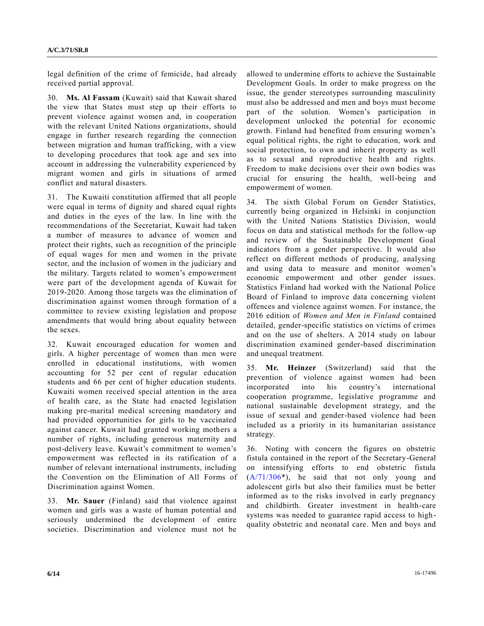legal definition of the crime of femicide, had already received partial approval.

30. **Ms. Al Fassam** (Kuwait) said that Kuwait shared the view that States must step up their efforts to prevent violence against women and, in cooperation with the relevant United Nations organizations, should engage in further research regarding the connection between migration and human trafficking, with a view to developing procedures that took age and sex into account in addressing the vulnerability experienced by migrant women and girls in situations of armed conflict and natural disasters.

31. The Kuwaiti constitution affirmed that all people were equal in terms of dignity and shared equal rights and duties in the eyes of the law. In line with the recommendations of the Secretariat, Kuwait had taken a number of measures to advance of women and protect their rights, such as recognition of the principle of equal wages for men and women in the private sector, and the inclusion of women in the judiciary and the military. Targets related to women's empowerment were part of the development agenda of Kuwait for 2019-2020. Among those targets was the elimination of discrimination against women through formation of a committee to review existing legislation and propose amendments that would bring about equality between the sexes.

32. Kuwait encouraged education for women and girls. A higher percentage of women than men were enrolled in educational institutions, with women accounting for 52 per cent of regular education students and 66 per cent of higher education students. Kuwaiti women received special attention in the area of health care, as the State had enacted legislation making pre-marital medical screening mandatory and had provided opportunities for girls to be vaccinated against cancer. Kuwait had granted working mothers a number of rights, including generous maternity and post-delivery leave. Kuwait's commitment to women's empowerment was reflected in its ratification of a number of relevant international instruments, including the Convention on the Elimination of All Forms of Discrimination against Women.

33. **Mr. Sauer** (Finland) said that violence against women and girls was a waste of human potential and seriously undermined the development of entire societies. Discrimination and violence must not be allowed to undermine efforts to achieve the Sustainable Development Goals. In order to make progress on the issue, the gender stereotypes surrounding masculinity must also be addressed and men and boys must become part of the solution. Women's participation in development unlocked the potential for economic growth. Finland had benefited from ensuring women's equal political rights, the right to education, work and social protection, to own and inherit property as well as to sexual and reproductive health and rights. Freedom to make decisions over their own bodies was crucial for ensuring the health, well-being and empowerment of women.

34. The sixth Global Forum on Gender Statistics, currently being organized in Helsinki in conjunction with the United Nations Statistics Division, would focus on data and statistical methods for the follow-up and review of the Sustainable Development Goal indicators from a gender perspective. It would also reflect on different methods of producing, analysing and using data to measure and monitor women's economic empowerment and other gender issues. Statistics Finland had worked with the National Police Board of Finland to improve data concerning violent offences and violence against women. For instance, the 2016 edition of *Women and Men in Finland* contained detailed, gender-specific statistics on victims of crimes and on the use of shelters. A 2014 study on labour discrimination examined gender-based discrimination and unequal treatment.

35. **Mr. Heinzer** (Switzerland) said that the prevention of violence against women had been incorporated into his country's international cooperation programme, legislative programme and national sustainable development strategy, and the issue of sexual and gender-based violence had been included as a priority in its humanitarian assistance strategy.

36. Noting with concern the figures on obstetric fistula contained in the report of the Secretary-General on intensifying efforts to end obstetric fistula [\(A/71/306\\*](http://undocs.org/A/71/306)), he said that not only young and adolescent girls but also their families must be better informed as to the risks involved in early pregnancy and childbirth. Greater investment in health-care systems was needed to guarantee rapid access to highquality obstetric and neonatal care. Men and boys and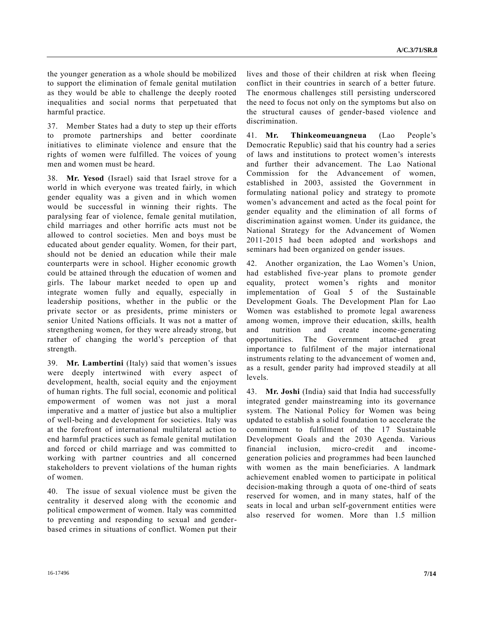the younger generation as a whole should be mobilized to support the elimination of female genital mutilation as they would be able to challenge the deeply rooted inequalities and social norms that perpetuated that harmful practice.

37. Member States had a duty to step up their efforts to promote partnerships and better coordinate initiatives to eliminate violence and ensure that the rights of women were fulfilled. The voices of young men and women must be heard.

38. **Mr. Yesod** (Israel) said that Israel strove for a world in which everyone was treated fairly, in which gender equality was a given and in which women would be successful in winning their rights. The paralysing fear of violence, female genital mutilation, child marriages and other horrific acts must not be allowed to control societies. Men and boys must be educated about gender equality. Women, for their part, should not be denied an education while their male counterparts were in school. Higher economic growth could be attained through the education of women and girls. The labour market needed to open up and integrate women fully and equally, especially in leadership positions, whether in the public or the private sector or as presidents, prime ministers or senior United Nations officials. It was not a matter of strengthening women, for they were already strong, but rather of changing the world's perception of that strength.

39. **Mr. Lambertini** (Italy) said that women's issues were deeply intertwined with every aspect of development, health, social equity and the enjoyment of human rights. The full social, economic and political empowerment of women was not just a moral imperative and a matter of justice but also a multiplier of well-being and development for societies. Italy was at the forefront of international multilateral action to end harmful practices such as female genital mutilation and forced or child marriage and was committed to working with partner countries and all concerned stakeholders to prevent violations of the human rights of women.

40. The issue of sexual violence must be given the centrality it deserved along with the economic and political empowerment of women. Italy was committed to preventing and responding to sexual and genderbased crimes in situations of conflict. Women put their lives and those of their children at risk when fleeing conflict in their countries in search of a better future. The enormous challenges still persisting underscored the need to focus not only on the symptoms but also on the structural causes of gender-based violence and discrimination.

41. **Mr. Thinkeomeuangneua** (Lao People's Democratic Republic) said that his country had a series of laws and institutions to protect women's interests and further their advancement. The Lao National Commission for the Advancement of women, established in 2003, assisted the Government in formulating national policy and strategy to promote women's advancement and acted as the focal point for gender equality and the elimination of all forms of discrimination against women. Under its guidance, the National Strategy for the Advancement of Women 2011-2015 had been adopted and workshops and seminars had been organized on gender issues.

42. Another organization, the Lao Women's Union, had established five-year plans to promote gender equality, protect women's rights and monitor implementation of Goal 5 of the Sustainable Development Goals. The Development Plan for Lao Women was established to promote legal awareness among women, improve their education, skills, health and nutrition and create income-generating opportunities. The Government attached great importance to fulfilment of the major international instruments relating to the advancement of women and, as a result, gender parity had improved steadily at all levels.

43. **Mr. Joshi** (India) said that India had successfully integrated gender mainstreaming into its governance system. The National Policy for Women was being updated to establish a solid foundation to accelerate the commitment to fulfilment of the 17 Sustainable Development Goals and the 2030 Agenda. Various financial inclusion, micro-credit and incomegeneration policies and programmes had been launched with women as the main beneficiaries. A landmark achievement enabled women to participate in political decision-making through a quota of one-third of seats reserved for women, and in many states, half of the seats in local and urban self-government entities were also reserved for women. More than 1.5 million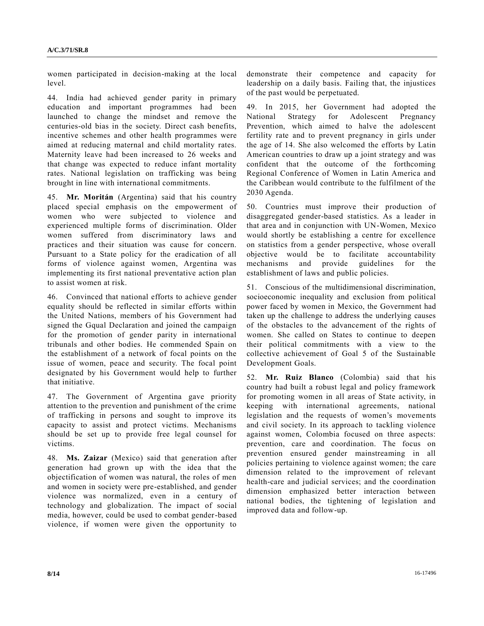women participated in decision-making at the local level.

44. India had achieved gender parity in primary education and important programmes had been launched to change the mindset and remove the centuries-old bias in the society. Direct cash benefits, incentive schemes and other health programmes were aimed at reducing maternal and child mortality rates. Maternity leave had been increased to 26 weeks and that change was expected to reduce infant mortality rates. National legislation on trafficking was being brought in line with international commitments.

45. **Mr. Moritán** (Argentina) said that his country placed special emphasis on the empowerment of women who were subjected to violence and experienced multiple forms of discrimination. Older women suffered from discriminatory laws and practices and their situation was cause for concern. Pursuant to a State policy for the eradication of all forms of violence against women, Argentina was implementing its first national preventative action plan to assist women at risk.

46. Convinced that national efforts to achieve gender equality should be reflected in similar efforts within the United Nations, members of his Government had signed the Gqual Declaration and joined the campaign for the promotion of gender parity in international tribunals and other bodies. He commended Spain on the establishment of a network of focal points on the issue of women, peace and security. The focal point designated by his Government would help to further that initiative.

47. The Government of Argentina gave priority attention to the prevention and punishment of the crime of trafficking in persons and sought to improve its capacity to assist and protect victims. Mechanisms should be set up to provide free legal counsel for victims.

48. **Ms. Zaizar** (Mexico) said that generation after generation had grown up with the idea that the objectification of women was natural, the roles of men and women in society were pre-established, and gender violence was normalized, even in a century of technology and globalization. The impact of social media, however, could be used to combat gender-based violence, if women were given the opportunity to

demonstrate their competence and capacity for leadership on a daily basis. Failing that, the injustices of the past would be perpetuated.

49. In 2015, her Government had adopted the National Strategy for Adolescent Pregnancy Prevention, which aimed to halve the adolescent fertility rate and to prevent pregnancy in girls under the age of 14. She also welcomed the efforts by Latin American countries to draw up a joint strategy and was confident that the outcome of the forthcoming Regional Conference of Women in Latin America and the Caribbean would contribute to the fulfilment of the 2030 Agenda.

50. Countries must improve their production of disaggregated gender-based statistics. As a leader in that area and in conjunction with UN-Women, Mexico would shortly be establishing a centre for excellence on statistics from a gender perspective, whose overall objective would be to facilitate accountability mechanisms and provide guidelines for the establishment of laws and public policies.

51. Conscious of the multidimensional discrimination, socioeconomic inequality and exclusion from political power faced by women in Mexico, the Government had taken up the challenge to address the underlying causes of the obstacles to the advancement of the rights of women. She called on States to continue to deepen their political commitments with a view to the collective achievement of Goal 5 of the Sustainable Development Goals.

52. **Mr. Ruiz Blanco** (Colombia) said that his country had built a robust legal and policy framework for promoting women in all areas of State activity, in keeping with international agreements, national legislation and the requests of women's movements and civil society. In its approach to tackling violence against women, Colombia focused on three aspects: prevention, care and coordination. The focus on prevention ensured gender mainstreaming in all policies pertaining to violence against women; the care dimension related to the improvement of relevant health-care and judicial services; and the coordination dimension emphasized better interaction between national bodies, the tightening of legislation and improved data and follow-up.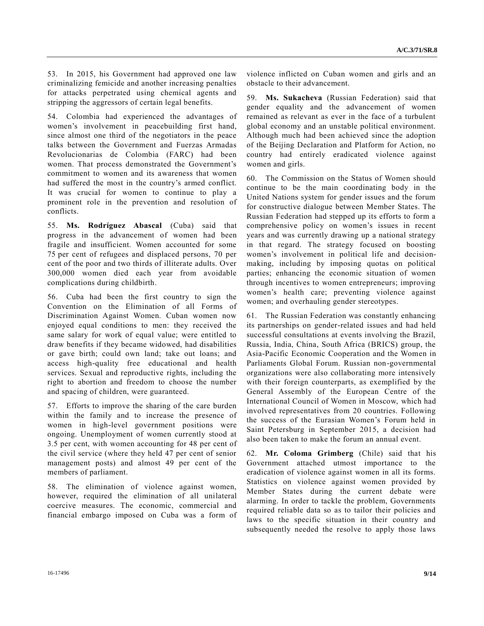53. In 2015, his Government had approved one law criminalizing femicide and another increasing penalties for attacks perpetrated using chemical agents and stripping the aggressors of certain legal benefits.

54. Colombia had experienced the advantages of women's involvement in peacebuilding first hand, since almost one third of the negotiators in the peace talks between the Government and Fuerzas Armadas Revolucionarias de Colombia (FARC) had been women. That process demonstrated the Government's commitment to women and its awareness that women had suffered the most in the country's armed conflict. It was crucial for women to continue to play a prominent role in the prevention and resolution of conflicts.

55. **Ms. Rodríguez Abascal** (Cuba) said that progress in the advancement of women had been fragile and insufficient. Women accounted for some 75 per cent of refugees and displaced persons, 70 per cent of the poor and two thirds of illiterate adults. Over 300,000 women died each year from avoidable complications during childbirth.

56. Cuba had been the first country to sign the Convention on the Elimination of all Forms of Discrimination Against Women. Cuban women now enjoyed equal conditions to men: they received the same salary for work of equal value; were entitled to draw benefits if they became widowed, had disabilities or gave birth; could own land; take out loans; and access high-quality free educational and health services. Sexual and reproductive rights, including the right to abortion and freedom to choose the number and spacing of children, were guaranteed.

57. Efforts to improve the sharing of the care burden within the family and to increase the presence of women in high-level government positions were ongoing. Unemployment of women currently stood at 3.5 per cent, with women accounting for 48 per cent of the civil service (where they held 47 per cent of senior management posts) and almost 49 per cent of the members of parliament.

58. The elimination of violence against women, however, required the elimination of all unilateral coercive measures. The economic, commercial and financial embargo imposed on Cuba was a form of violence inflicted on Cuban women and girls and an obstacle to their advancement.

59. **Ms. Sukacheva** (Russian Federation) said that gender equality and the advancement of women remained as relevant as ever in the face of a turbulent global economy and an unstable political environment. Although much had been achieved since the adoption of the Beijing Declaration and Platform for Action, no country had entirely eradicated violence against women and girls.

60. The Commission on the Status of Women should continue to be the main coordinating body in the United Nations system for gender issues and the forum for constructive dialogue between Member States. The Russian Federation had stepped up its efforts to form a comprehensive policy on women's issues in recent years and was currently drawing up a national strategy in that regard. The strategy focused on boosting women's involvement in political life and decisionmaking, including by imposing quotas on political parties; enhancing the economic situation of women through incentives to women entrepreneurs; improving women's health care; preventing violence against women; and overhauling gender stereotypes.

61. The Russian Federation was constantly enhancing its partnerships on gender-related issues and had held successful consultations at events involving the Brazil, Russia, India, China, South Africa (BRICS) group, the Asia-Pacific Economic Cooperation and the Women in Parliaments Global Forum. Russian non-governmental organizations were also collaborating more intensively with their foreign counterparts, as exemplified by the General Assembly of the European Centre of the International Council of Women in Moscow, which had involved representatives from 20 countries. Following the success of the Eurasian Women's Forum held in Saint Petersburg in September 2015, a decision had also been taken to make the forum an annual event.

62. **Mr. Coloma Grimberg** (Chile) said that his Government attached utmost importance to the eradication of violence against women in all its forms. Statistics on violence against women provided by Member States during the current debate were alarming. In order to tackle the problem, Governments required reliable data so as to tailor their policies and laws to the specific situation in their country and subsequently needed the resolve to apply those laws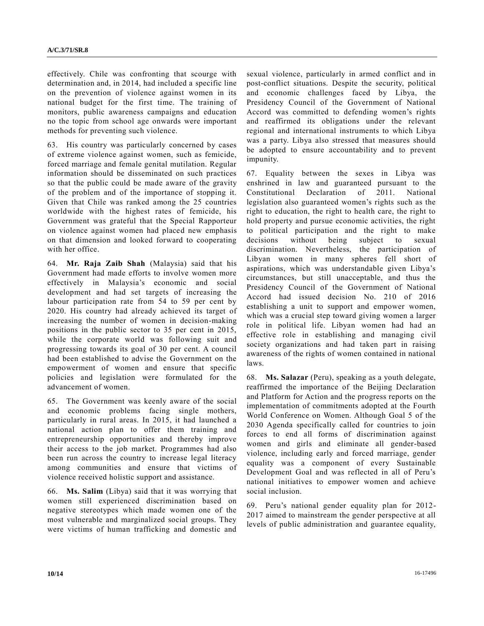effectively. Chile was confronting that scourge with determination and, in 2014, had included a specific line on the prevention of violence against women in its national budget for the first time. The training of monitors, public awareness campaigns and education no the topic from school age onwards were important methods for preventing such violence.

63. His country was particularly concerned by cases of extreme violence against women, such as femicide, forced marriage and female genital mutilation. Regular information should be disseminated on such practices so that the public could be made aware of the gravity of the problem and of the importance of stopping it. Given that Chile was ranked among the 25 countries worldwide with the highest rates of femicide, his Government was grateful that the Special Rapporteur on violence against women had placed new emphasis on that dimension and looked forward to cooperating with her office.

64. **Mr. Raja Zaib Shah** (Malaysia) said that his Government had made efforts to involve women more effectively in Malaysia's economic and social development and had set targets of increasing the labour participation rate from 54 to 59 per cent by 2020. His country had already achieved its target of increasing the number of women in decision-making positions in the public sector to 35 per cent in 2015, while the corporate world was following suit and progressing towards its goal of 30 per cent. A council had been established to advise the Government on the empowerment of women and ensure that specific policies and legislation were formulated for the advancement of women.

65. The Government was keenly aware of the social and economic problems facing single mothers, particularly in rural areas. In 2015, it had launched a national action plan to offer them training and entrepreneurship opportunities and thereby improve their access to the job market. Programmes had also been run across the country to increase legal literacy among communities and ensure that victims of violence received holistic support and assistance.

66. **Ms. Salim** (Libya) said that it was worrying that women still experienced discrimination based on negative stereotypes which made women one of the most vulnerable and marginalized social groups. They were victims of human trafficking and domestic and sexual violence, particularly in armed conflict and in post-conflict situations. Despite the security, political and economic challenges faced by Libya, the Presidency Council of the Government of National Accord was committed to defending women's rights and reaffirmed its obligations under the relevant regional and international instruments to which Libya was a party. Libya also stressed that measures should be adopted to ensure accountability and to prevent impunity.

67. Equality between the sexes in Libya was enshrined in law and guaranteed pursuant to the Constitutional Declaration of 2011. National legislation also guaranteed women's rights such as the right to education, the right to health care, the right to hold property and pursue economic activities, the right to political participation and the right to make decisions without being subject to sexual discrimination. Nevertheless, the participation of Libyan women in many spheres fell short of aspirations, which was understandable given Libya's circumstances, but still unacceptable, and thus the Presidency Council of the Government of National Accord had issued decision No. 210 of 2016 establishing a unit to support and empower women, which was a crucial step toward giving women a larger role in political life. Libyan women had had an effective role in establishing and managing civil society organizations and had taken part in raising awareness of the rights of women contained in national laws.

68. **Ms. Salazar** (Peru), speaking as a youth delegate, reaffirmed the importance of the Beijing Declaration and Platform for Action and the progress reports on the implementation of commitments adopted at the Fourth World Conference on Women. Although Goal 5 of the 2030 Agenda specifically called for countries to join forces to end all forms of discrimination against women and girls and eliminate all gender-based violence, including early and forced marriage, gender equality was a component of every Sustainable Development Goal and was reflected in all of Peru's national initiatives to empower women and achieve social inclusion.

69. Peru's national gender equality plan for 2012- 2017 aimed to mainstream the gender perspective at all levels of public administration and guarantee equality,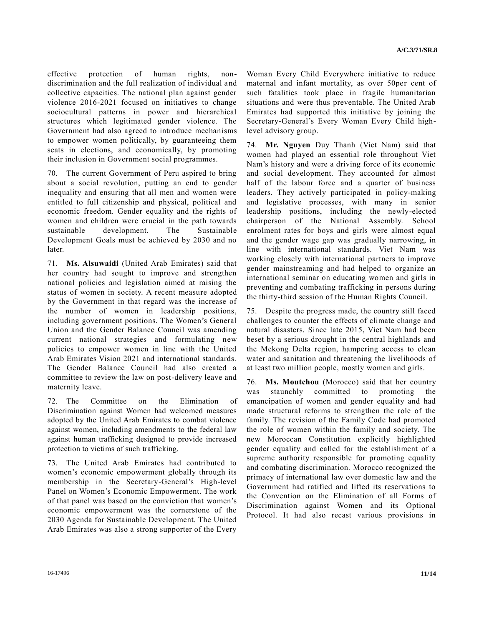effective protection of human rights, nondiscrimination and the full realization of individual and collective capacities. The national plan against gender violence 2016-2021 focused on initiatives to change sociocultural patterns in power and hierarchical structures which legitimated gender violence. The Government had also agreed to introduce mechanisms to empower women politically, by guaranteeing them seats in elections, and economically, by promoting their inclusion in Government social programmes.

70. The current Government of Peru aspired to bring about a social revolution, putting an end to gender inequality and ensuring that all men and women were entitled to full citizenship and physical, political and economic freedom. Gender equality and the rights of women and children were crucial in the path towards sustainable development. The Sustainable Development Goals must be achieved by 2030 and no later.

71. **Ms. Alsuwaidi** (United Arab Emirates) said that her country had sought to improve and strengthen national policies and legislation aimed at raising the status of women in society. A recent measure adopted by the Government in that regard was the increase of the number of women in leadership positions, including government positions. The Women's General Union and the Gender Balance Council was amending current national strategies and formulating new policies to empower women in line with the United Arab Emirates Vision 2021 and international standards. The Gender Balance Council had also created a committee to review the law on post-delivery leave and maternity leave.

72. The Committee on the Elimination of Discrimination against Women had welcomed measures adopted by the United Arab Emirates to combat violence against women, including amendments to the federal law against human trafficking designed to provide increased protection to victims of such trafficking.

73. The United Arab Emirates had contributed to women's economic empowerment globally through its membership in the Secretary-General's High-level Panel on Women's Economic Empowerment. The work of that panel was based on the conviction that women's economic empowerment was the cornerstone of the 2030 Agenda for Sustainable Development. The United Arab Emirates was also a strong supporter of the Every Woman Every Child Everywhere initiative to reduce maternal and infant mortality, as over 50per cent of such fatalities took place in fragile humanitarian situations and were thus preventable. The United Arab Emirates had supported this initiative by joining the Secretary-General's Every Woman Every Child highlevel advisory group.

74. **Mr. Nguyen** Duy Thanh (Viet Nam) said that women had played an essential role throughout Viet Nam's history and were a driving force of its economic and social development. They accounted for almost half of the labour force and a quarter of business leaders. They actively participated in policy-making and legislative processes, with many in senior leadership positions, including the newly-elected chairperson of the National Assembly. School enrolment rates for boys and girls were almost equal and the gender wage gap was gradually narrowing, in line with international standards. Viet Nam was working closely with international partners to improve gender mainstreaming and had helped to organize an international seminar on educating women and girls in preventing and combating trafficking in persons during the thirty-third session of the Human Rights Council.

75. Despite the progress made, the country still faced challenges to counter the effects of climate change and natural disasters. Since late 2015, Viet Nam had been beset by a serious drought in the central highlands and the Mekong Delta region, hampering access to clean water and sanitation and threatening the livelihoods of at least two million people, mostly women and girls.

76. **Ms. Moutchou** (Morocco) said that her country was staunchly committed to promoting the emancipation of women and gender equality and had made structural reforms to strengthen the role of the family. The revision of the Family Code had promoted the role of women within the family and society. The new Moroccan Constitution explicitly highlighted gender equality and called for the establishment of a supreme authority responsible for promoting equality and combating discrimination. Morocco recognized the primacy of international law over domestic law and the Government had ratified and lifted its reservations to the Convention on the Elimination of all Forms of Discrimination against Women and its Optional Protocol. It had also recast various provisions in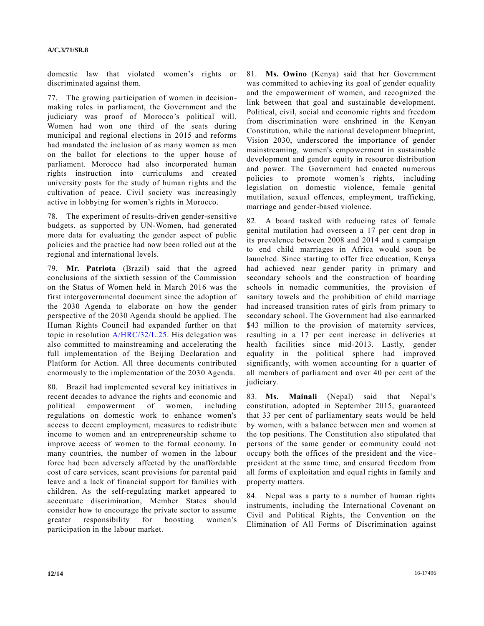domestic law that violated women's rights or discriminated against them.

77. The growing participation of women in decisionmaking roles in parliament, the Government and the judiciary was proof of Morocco's political will. Women had won one third of the seats during municipal and regional elections in 2015 and reforms had mandated the inclusion of as many women as men on the ballot for elections to the upper house of parliament. Morocco had also incorporated human rights instruction into curriculums and created university posts for the study of human rights and the cultivation of peace. Civil society was increasingly active in lobbying for women's rights in Morocco.

78. The experiment of results-driven gender-sensitive budgets, as supported by UN-Women, had generated more data for evaluating the gender aspect of public policies and the practice had now been rolled out at the regional and international levels.

79. **Mr. Patriota** (Brazil) said that the agreed conclusions of the sixtieth session of the Commission on the Status of Women held in March 2016 was the first intergovernmental document since the adoption of the 2030 Agenda to elaborate on how the gender perspective of the 2030 Agenda should be applied. The Human Rights Council had expanded further on that topic in resolution [A/HRC/32/L.25.](http://undocs.org/A/HRC/32/L.25) His delegation was also committed to mainstreaming and accelerating the full implementation of the Beijing Declaration and Platform for Action. All three documents contributed enormously to the implementation of the 2030 Agenda.

80. Brazil had implemented several key initiatives in recent decades to advance the rights and economic and political empowerment of women, including regulations on domestic work to enhance women's access to decent employment, measures to redistribute income to women and an entrepreneurship scheme to improve access of women to the formal economy. In many countries, the number of women in the labour force had been adversely affected by the unaffordable cost of care services, scant provisions for parental paid leave and a lack of financial support for families with children. As the self-regulating market appeared to accentuate discrimination, Member States should consider how to encourage the private sector to assume greater responsibility for boosting women's participation in the labour market.

81. **Ms. Owino** (Kenya) said that her Government was committed to achieving its goal of gender equality and the empowerment of women, and recognized the link between that goal and sustainable development. Political, civil, social and economic rights and freedom from discrimination were enshrined in the Kenyan Constitution, while the national development blueprint, Vision 2030, underscored the importance of gender mainstreaming, women's empowerment in sustainable development and gender equity in resource distribution and power. The Government had enacted numerous policies to promote women's rights, including legislation on domestic violence, female genital mutilation, sexual offences, employment, trafficking, marriage and gender-based violence.

82. A board tasked with reducing rates of female genital mutilation had overseen a 17 per cent drop in its prevalence between 2008 and 2014 and a campaign to end child marriages in Africa would soon be launched. Since starting to offer free education, Kenya had achieved near gender parity in primary and secondary schools and the construction of boarding schools in nomadic communities, the provision of sanitary towels and the prohibition of child marriage had increased transition rates of girls from primary to secondary school. The Government had also earmarked \$43 million to the provision of maternity services, resulting in a 17 per cent increase in deliveries at health facilities since mid-2013. Lastly, gender equality in the political sphere had improved significantly, with women accounting for a quarter of all members of parliament and over 40 per cent of the judiciary.

83. **Ms. Mainali** (Nepal) said that Nepal's constitution, adopted in September 2015, guaranteed that 33 per cent of parliamentary seats would be held by women, with a balance between men and women at the top positions. The Constitution also stipulated that persons of the same gender or community could not occupy both the offices of the president and the vicepresident at the same time, and ensured freedom from all forms of exploitation and equal rights in family and property matters.

84. Nepal was a party to a number of human rights instruments, including the International Covenant on Civil and Political Rights, the Convention on the Elimination of All Forms of Discrimination against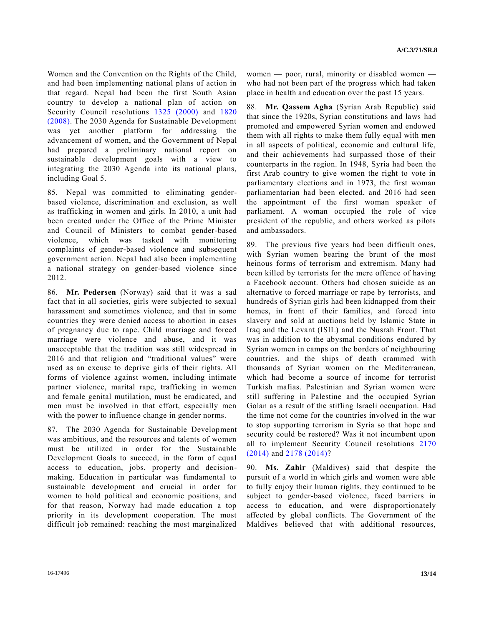Women and the Convention on the Rights of the Child, and had been implementing national plans of action in that regard. Nepal had been the first South Asian country to develop a national plan of action on Security Council resolutions [1325 \(2000\)](http://undocs.org/S/RES/1325(2000)) and [1820](http://undocs.org/S/RES/1820(2008))  [\(2008\).](http://undocs.org/S/RES/1820(2008)) The 2030 Agenda for Sustainable Development was yet another platform for addressing the advancement of women, and the Government of Nepal had prepared a preliminary national report on sustainable development goals with a view to integrating the 2030 Agenda into its national plans, including Goal 5.

85. Nepal was committed to eliminating genderbased violence, discrimination and exclusion, as well as trafficking in women and girls. In 2010, a unit had been created under the Office of the Prime Minister and Council of Ministers to combat gender-based violence, which was tasked with monitoring complaints of gender-based violence and subsequent government action. Nepal had also been implementing a national strategy on gender-based violence since 2012.

86. **Mr. Pedersen** (Norway) said that it was a sad fact that in all societies, girls were subjected to sexual harassment and sometimes violence, and that in some countries they were denied access to abortion in cases of pregnancy due to rape. Child marriage and forced marriage were violence and abuse, and it was unacceptable that the tradition was still widespread in 2016 and that religion and "traditional values" were used as an excuse to deprive girls of their rights. All forms of violence against women, including intimate partner violence, marital rape, trafficking in women and female genital mutilation, must be eradicated, and men must be involved in that effort, especially men with the power to influence change in gender norms.

87. The 2030 Agenda for Sustainable Development was ambitious, and the resources and talents of women must be utilized in order for the Sustainable Development Goals to succeed, in the form of equal access to education, jobs, property and decisionmaking. Education in particular was fundamental to sustainable development and crucial in order for women to hold political and economic positions, and for that reason, Norway had made education a top priority in its development cooperation. The most difficult job remained: reaching the most marginalized women — poor, rural, minority or disabled women who had not been part of the progress which had taken place in health and education over the past 15 years.

88. **Mr. Qassem Agha** (Syrian Arab Republic) said that since the 1920s, Syrian constitutions and laws had promoted and empowered Syrian women and endowed them with all rights to make them fully equal with men in all aspects of political, economic and cultural life, and their achievements had surpassed those of their counterparts in the region. In 1948, Syria had been the first Arab country to give women the right to vote in parliamentary elections and in 1973, the first woman parliamentarian had been elected, and 2016 had seen the appointment of the first woman speaker of parliament. A woman occupied the role of vice president of the republic, and others worked as pilots and ambassadors.

89. The previous five years had been difficult ones, with Syrian women bearing the brunt of the most heinous forms of terrorism and extremism. Many had been killed by terrorists for the mere offence of having a Facebook account. Others had chosen suicide as an alternative to forced marriage or rape by terrorists, and hundreds of Syrian girls had been kidnapped from their homes, in front of their families, and forced into slavery and sold at auctions held by Islamic State in Iraq and the Levant (ISIL) and the Nusrah Front. That was in addition to the abysmal conditions endured by Syrian women in camps on the borders of neighbouring countries, and the ships of death crammed with thousands of Syrian women on the Mediterranean, which had become a source of income for terrorist Turkish mafias. Palestinian and Syrian women were still suffering in Palestine and the occupied Syrian Golan as a result of the stifling Israeli occupation. Had the time not come for the countries involved in the war to stop supporting terrorism in Syria so that hope and security could be restored? Was it not incumbent upon all to implement Security Council resolutions [2170](http://undocs.org/S/RES/2170(2014))  [\(2014\)](http://undocs.org/S/RES/2170(2014)) and [2178 \(2014\)?](http://undocs.org/S/RES/2178(2014))

90. **Ms. Zahir** (Maldives) said that despite the pursuit of a world in which girls and women were able to fully enjoy their human rights, they continued to be subject to gender-based violence, faced barriers in access to education, and were disproportionately affected by global conflicts. The Government of the Maldives believed that with additional resources,